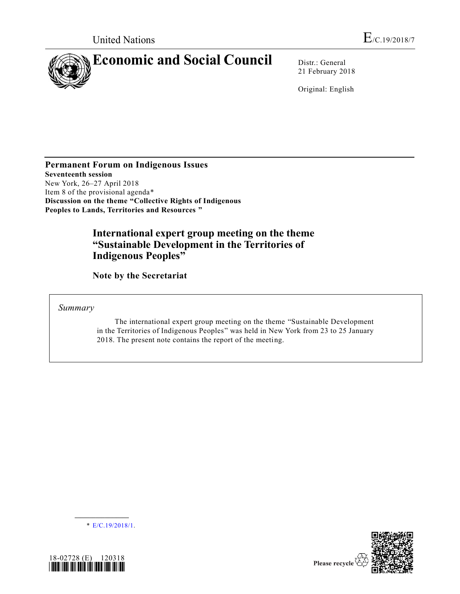

21 February 2018

Original: English

**Permanent Forum on Indigenous Issues Seventeenth session** New York, 26–27 April 2018 Item 8 of the provisional agenda\* **Discussion on the theme "Collective Rights of Indigenous Peoples to Lands, Territories and Resources "**

# **International expert group meeting on the theme "Sustainable Development in the Territories of Indigenous Peoples"**

**Note by the Secretariat** 

*Summary*

The international expert group meeting on the theme "Sustainable Development in the Territories of Indigenous Peoples" was held in New York from 23 to 25 January 2018. The present note contains the report of the meeting.

\* [E/C.19/2018/1.](https://undocs.org/E/C.19/2018/1..)

**\_\_\_\_\_\_\_\_\_\_\_\_\_\_\_\_\_\_**



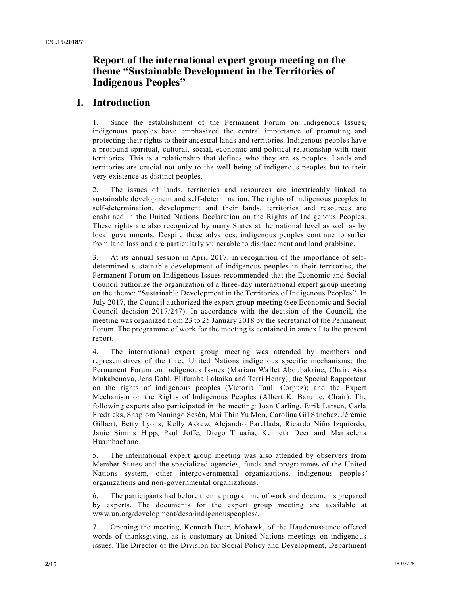## **Report of the international expert group meeting on the theme "Sustainable Development in the Territories of Indigenous Peoples"**

## **I. Introduction**

1. Since the establishment of the Permanent Forum on Indigenous Issues, indigenous peoples have emphasized the central importance of promoting and protecting their rights to their ancestral lands and territories. Indigenous peoples have a profound spiritual, cultural, social, economic and political relationship with their territories. This is a relationship that defines who they are as peoples. Lands and territories are crucial not only to the well-being of indigenous peoples but to their very existence as distinct peoples.

2. The issues of lands, territories and resources are inextricably linked to sustainable development and self-determination. The rights of indigenous peoples to self-determination, development and their lands, territories and resources are enshrined in the United Nations Declaration on the Rights of Indigenous Peoples. These rights are also recognized by many States at the national level as well as by local governments. Despite these advances, indigenous peoples continue to suffer from land loss and are particularly vulnerable to displacement and land grabbing.

3. At its annual session in April 2017, in recognition of the importance of selfdetermined sustainable development of indigenous peoples in their territories, the Permanent Forum on Indigenous Issues recommended that the Economic and Social Council authorize the organization of a three-day international expert group meeting on the theme: "Sustainable Development in the Territories of Indigenous Peoples". In July 2017, the Council authorized the expert group meeting (see Economic and Social Council decision 2017/247). In accordance with the decision of the Council, the meeting was organized from 23 to 25 January 2018 by the secretariat of the Permanent Forum. The programme of work for the meeting is contained in annex I to the present report.

4. The international expert group meeting was attended by members and representatives of the three United Nations indigenous specific mechanisms: the Permanent Forum on Indigenous Issues (Mariam Wallet Aboubakrine, Chair; Aisa Mukabenova, Jens Dahl, Elifuraha Laltaika and Terri Henry); the Special Rapporteur on the rights of indigenous peoples (Victoria Tauli Corpuz); and the Expert Mechanism on the Rights of Indigenous Peoples (Albert K. Barume, Chair). The following experts also participated in the meeting: Joan Carling, Eirik Larsen, Carla Fredricks, Shapiom Noningo Sesén, Mai Thin Yu Mon, Carolina Gil Sánchez, Jérémie Gilbert, Betty Lyons, Kelly Askew, Alejandro Parellada, Ricardo Niño Izquierdo, Janie Simms Hipp, Paul Joffe, Diego Tituaña, Kenneth Deer and Mariaelena Huambachano.

5. The international expert group meeting was also attended by observers from Member States and the specialized agencies, funds and programmes of the United Nations system, other intergovernmental organizations, indigenous peoples' organizations and non-governmental organizations.

6. The participants had before them a programme of work and documents prepared by experts. The documents for the expert group meeting are available at www.un.org/development/desa/indigenouspeoples/.

7. Opening the meeting, Kenneth Deer, Mohawk, of the Haudenosaunee offered words of thanksgiving, as is customary at United Nations meetings on indigenous issues. The Director of the Division for Social Policy and Development, Department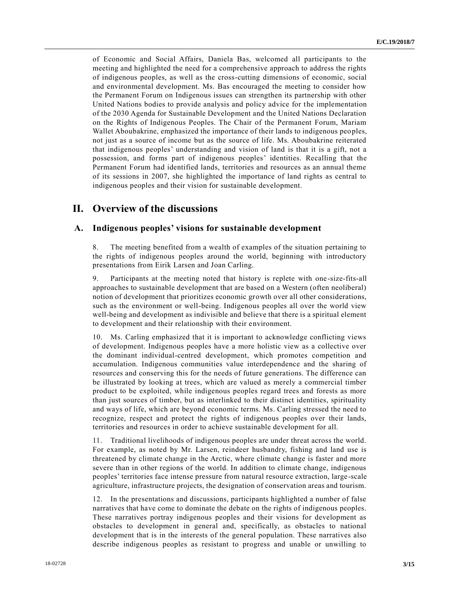of Economic and Social Affairs, Daniela Bas, welcomed all participants to the meeting and highlighted the need for a comprehensive approach to address the rights of indigenous peoples, as well as the cross-cutting dimensions of economic, social and environmental development. Ms. Bas encouraged the meeting to consider how the Permanent Forum on Indigenous issues can strengthen its partnership with other United Nations bodies to provide analysis and policy advice for the implementation of the 2030 Agenda for Sustainable Development and the United Nations Declaration on the Rights of Indigenous Peoples. The Chair of the Permanent Forum, Mariam Wallet Aboubakrine, emphasized the importance of their lands to indigenous peoples, not just as a source of income but as the source of life. Ms. Aboubakrine reiterated that indigenous peoples' understanding and vision of land is that it is a gift, not a possession, and forms part of indigenous peoples' identities. Recalling that the Permanent Forum had identified lands, territories and resources as an annual theme of its sessions in 2007, she highlighted the importance of land rights as central to indigenous peoples and their vision for sustainable development.

## **II. Overview of the discussions**

#### **A. Indigenous peoples' visions for sustainable development**

8. The meeting benefited from a wealth of examples of the situation pertaining to the rights of indigenous peoples around the world, beginning with introductory presentations from Eirik Larsen and Joan Carling.

9. Participants at the meeting noted that history is replete with one-size-fits-all approaches to sustainable development that are based on a Western (often neoliberal) notion of development that prioritizes economic growth over all other considerations, such as the environment or well-being. Indigenous peoples all over the world view well-being and development as indivisible and believe that there is a spiritual element to development and their relationship with their environment.

10. Ms. Carling emphasized that it is important to acknowledge conflicting views of development. Indigenous peoples have a more holistic view as a collective over the dominant individual-centred development, which promotes competition and accumulation. Indigenous communities value interdependence and the sharing of resources and conserving this for the needs of future generations. The difference can be illustrated by looking at trees, which are valued as merely a commercial timber product to be exploited, while indigenous peoples regard trees and forests as more than just sources of timber, but as interlinked to their distinct identities, spirituality and ways of life, which are beyond economic terms. Ms. Carling stressed the need to recognize, respect and protect the rights of indigenous peoples over their lands, territories and resources in order to achieve sustainable development for all.

11. Traditional livelihoods of indigenous peoples are under threat across the world. For example, as noted by Mr. Larsen, reindeer husbandry, fishing and land use is threatened by climate change in the Arctic, where climate change is faster and more severe than in other regions of the world. In addition to climate change, indigenous peoples' territories face intense pressure from natural resource extraction, large-scale agriculture, infrastructure projects, the designation of conservation areas and tourism.

12. In the presentations and discussions, participants highlighted a number of false narratives that have come to dominate the debate on the rights of indigenous peoples. These narratives portray indigenous peoples and their visions for development as obstacles to development in general and, specifically, as obstacles to national development that is in the interests of the general population. These narratives also describe indigenous peoples as resistant to progress and unable or unwilling to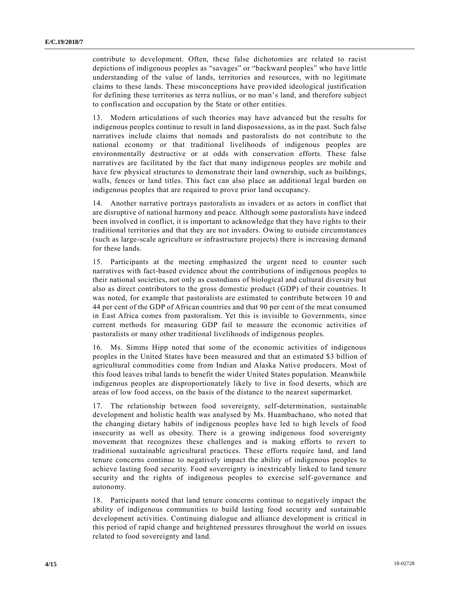contribute to development. Often, these false dichotomies are related to racist depictions of indigenous peoples as "savages" or "backward peoples" who have little understanding of the value of lands, territories and resources, with no legitimate claims to these lands. These misconceptions have provided ideological justification for defining these territories as terra nullius, or no man's land, and therefore subject to confiscation and occupation by the State or other entities.

13. Modern articulations of such theories may have advanced but the results for indigenous peoples continue to result in land dispossessions, as in the past. Such false narratives include claims that nomads and pastoralists do not contribute to the national economy or that traditional livelihoods of indigenous peoples are environmentally destructive or at odds with conservation efforts. These false narratives are facilitated by the fact that many indigenous peoples are mobile and have few physical structures to demonstrate their land ownership, such as buildings, walls, fences or land titles. This fact can also place an additional legal burden on indigenous peoples that are required to prove prior land occupancy.

14. Another narrative portrays pastoralists as invaders or as actors in conflict that are disruptive of national harmony and peace. Although some pastoralists have indeed been involved in conflict, it is important to acknowledge that they have rights to their traditional territories and that they are not invaders. Owing to outside circumstances (such as large-scale agriculture or infrastructure projects) there is increasing demand for these lands.

15. Participants at the meeting emphasized the urgent need to counter such narratives with fact-based evidence about the contributions of indigenous peoples to their national societies, not only as custodians of biological and cultural diversity but also as direct contributors to the gross domestic product (GDP) of their countries. It was noted, for example that pastoralists are estimated to contribute between 10 and 44 per cent of the GDP of African countries and that 90 per cent of the meat consumed in East Africa comes from pastoralism. Yet this is invisible to Governments, since current methods for measuring GDP fail to measure the economic activities of pastoralists or many other traditional livelihoods of indigenous peoples.

16. Ms. Simms Hipp noted that some of the economic activities of indigenous peoples in the United States have been measured and that an estimated \$3 billion of agricultural commodities come from Indian and Alaska Native producers. Most of this food leaves tribal lands to benefit the wider United States population. Meanwhile indigenous peoples are disproportionately likely to live in food deserts, which are areas of low food access, on the basis of the distance to the nearest supermarket.

17. The relationship between food sovereignty, self-determination, sustainable development and holistic health was analysed by Ms. Huambachano, who noted that the changing dietary habits of indigenous peoples have led to high levels of food insecurity as well as obesity. There is a growing indigenous food sovereignty movement that recognizes these challenges and is making efforts to revert to traditional sustainable agricultural practices. These efforts require land, and land tenure concerns continue to negatively impact the ability of indigenous peoples to achieve lasting food security. Food sovereignty is inextricably linked to land tenure security and the rights of indigenous peoples to exercise self-governance and autonomy.

18. Participants noted that land tenure concerns continue to negatively impact the ability of indigenous communities to build lasting food security and sustainable development activities. Continuing dialogue and alliance development is critical in this period of rapid change and heightened pressures throughout the world on issues related to food sovereignty and land.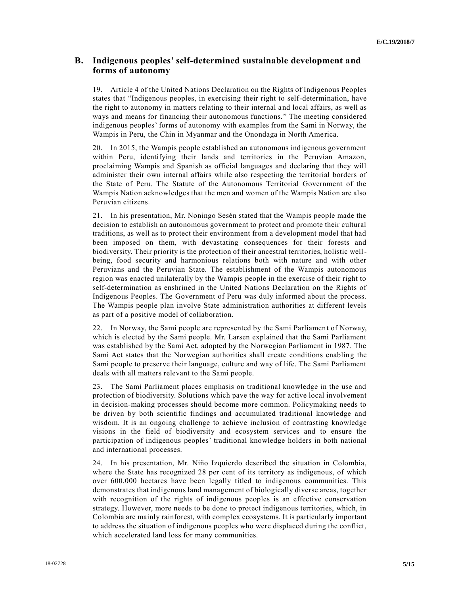### **B. Indigenous peoples' self-determined sustainable development and forms of autonomy**

19. Article 4 of the United Nations Declaration on the Rights of Indigenous Peoples states that "Indigenous peoples, in exercising their right to self-determination, have the right to autonomy in matters relating to their internal and local affairs, as well as ways and means for financing their autonomous functions." The meeting considered indigenous peoples' forms of autonomy with examples from the Sami in Norway, the Wampis in Peru, the Chin in Myanmar and the Onondaga in North America.

20. In 2015, the Wampis people established an autonomous indigenous government within Peru, identifying their lands and territories in the Peruvian Amazon, proclaiming Wampis and Spanish as official languages and declaring that they will administer their own internal affairs while also respecting the territorial borders of the State of Peru. The Statute of the Autonomous Territorial Government of the Wampis Nation acknowledges that the men and women of the Wampis Nation are also Peruvian citizens.

21. In his presentation, Mr. Noningo Sesén stated that the Wampis people made the decision to establish an autonomous government to protect and promote their cultural traditions, as well as to protect their environment from a development model that had been imposed on them, with devastating consequences for their forests and biodiversity. Their priority is the protection of their ancestral territories, holistic wellbeing, food security and harmonious relations both with nature and with other Peruvians and the Peruvian State. The establishment of the Wampis autonomous region was enacted unilaterally by the Wampis people in the exercise of their right to self-determination as enshrined in the United Nations Declaration on the Rights of Indigenous Peoples. The Government of Peru was duly informed about the process. The Wampis people plan involve State administration authorities at different levels as part of a positive model of collaboration.

22. In Norway, the Sami people are represented by the Sami Parliament of Norway, which is elected by the Sami people. Mr. Larsen explained that the Sami Parliament was established by the Sami Act, adopted by the Norwegian Parliament in 1987. The Sami Act states that the Norwegian authorities shall create conditions enabling the Sami people to preserve their language, culture and way of life. The Sami Parliament deals with all matters relevant to the Sami people.

23. The Sami Parliament places emphasis on traditional knowledge in the use and protection of biodiversity. Solutions which pave the way for active local involvement in decision-making processes should become more common. Policymaking needs to be driven by both scientific findings and accumulated traditional knowledge and wisdom. It is an ongoing challenge to achieve inclusion of contrasting knowledge visions in the field of biodiversity and ecosystem services and to ensure the participation of indigenous peoples' traditional knowledge holders in both national and international processes.

24. In his presentation, Mr. Niño Izquierdo described the situation in Colombia, where the State has recognized 28 per cent of its territory as indigenous, of which over 600,000 hectares have been legally titled to indigenous communities. This demonstrates that indigenous land management of biologically diverse areas, together with recognition of the rights of indigenous peoples is an effective conservation strategy. However, more needs to be done to protect indigenous territories, which, in Colombia are mainly rainforest, with complex ecosystems. It is particularly important to address the situation of indigenous peoples who were displaced during the conflict, which accelerated land loss for many communities.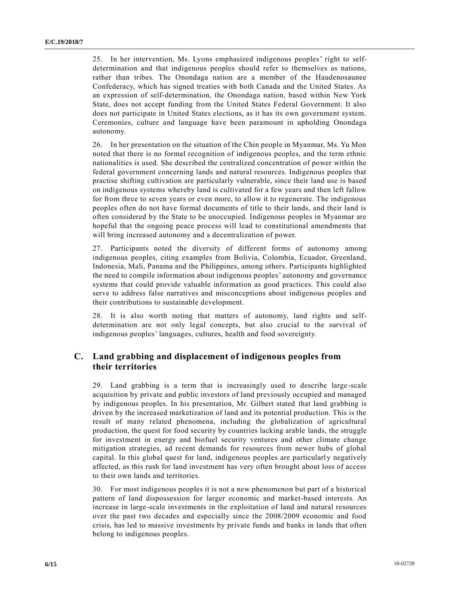25. In her intervention, Ms. Lyons emphasized indigenous peoples' right to selfdetermination and that indigenous peoples should refer to themselves as nations, rather than tribes. The Onondaga nation are a member of the Haudenosaunee Confederacy, which has signed treaties with both Canada and the United States. As an expression of self-determination, the Onondaga nation, based within New York State, does not accept funding from the United States Federal Government. It also does not participate in United States elections, as it has its own government system. Ceremonies, culture and language have been paramount in upholding Onondaga autonomy.

26. In her presentation on the situation of the Chin people in Myanmar, Ms. Yu Mon noted that there is no formal recognition of indigenous peoples, and the term ethnic nationalities is used. She described the centralized concentration of power within the federal government concerning lands and natural resources. Indigenous peoples that practise shifting cultivation are particularly vulnerable, since their land use is based on indigenous systems whereby land is cultivated for a few years and then left fallow for from three to seven years or even more, to allow it to regenerate. The indigenous peoples often do not have formal documents of title to their lands, and their land is often considered by the State to be unoccupied. Indigenous peoples in Myanmar are hopeful that the ongoing peace process will lead to constitutional amendments that will bring increased autonomy and a decentralization of power.

27. Participants noted the diversity of different forms of autonomy among indigenous peoples, citing examples from Bolivia, Colombia, Ecuador, Greenland, Indonesia, Mali, Panama and the Philippines, among others. Participants highlighted the need to compile information about indigenous peoples' autonomy and governance systems that could provide valuable information as good practices. This could also serve to address false narratives and misconceptions about indigenous peoples and their contributions to sustainable development.

28. It is also worth noting that matters of autonomy, land rights and selfdetermination are not only legal concepts, but also crucial to the survival of indigenous peoples' languages, cultures, health and food sovereignty.

### **C. Land grabbing and displacement of indigenous peoples from their territories**

29. Land grabbing is a term that is increasingly used to describe large -scale acquisition by private and public investors of land previously occupied and managed by indigenous peoples. In his presentation, Mr. Gilbert stated that land grabbing is driven by the increased marketization of land and its potential production. This is the result of many related phenomena, including the globalization of agricultural production, the quest for food security by countries lacking arable lands, the struggle for investment in energy and biofuel security ventures and other climate change mitigation strategies, ad recent demands for resources from newer hubs of global capital. In this global quest for land, indigenous peoples are particularly negatively affected, as this rush for land investment has very often brought about loss of access to their own lands and territories.

30. For most indigenous peoples it is not a new phenomenon but part of a historical pattern of land dispossession for larger economic and market-based interests. An increase in large-scale investments in the exploitation of land and natural resources over the past two decades and especially since the 2008/2009 economic and food crisis, has led to massive investments by private funds and banks in lands that often belong to indigenous peoples.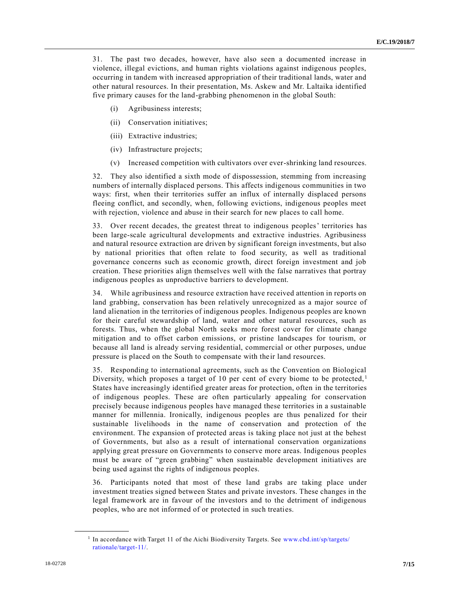31. The past two decades, however, have also seen a documented increase in violence, illegal evictions, and human rights violations against indigenous peoples, occurring in tandem with increased appropriation of their traditional lands, water and other natural resources. In their presentation, Ms. Askew and Mr. Laltaika identified five primary causes for the land-grabbing phenomenon in the global South:

- (i) Agribusiness interests;
- (ii) Conservation initiatives;
- (iii) Extractive industries;
- (iv) Infrastructure projects;
- (v) Increased competition with cultivators over ever-shrinking land resources.

32. They also identified a sixth mode of dispossession, stemming from increasing numbers of internally displaced persons. This affects indigenous communities in two ways: first, when their territories suffer an influx of internally displaced persons fleeing conflict, and secondly, when, following evictions, indigenous peoples meet with rejection, violence and abuse in their search for new places to call home.

33. Over recent decades, the greatest threat to indigenous peoples' territories has been large-scale agricultural developments and extractive industries. Agribusiness and natural resource extraction are driven by significant foreign investments, but also by national priorities that often relate to food security, as well as traditional governance concerns such as economic growth, direct foreign investment and job creation. These priorities align themselves well with the false narratives that portray indigenous peoples as unproductive barriers to development.

34. While agribusiness and resource extraction have received attention in reports on land grabbing, conservation has been relatively unrecognized as a major source of land alienation in the territories of indigenous peoples. Indigenous peoples are known for their careful stewardship of land, water and other natural resources, such as forests. Thus, when the global North seeks more forest cover for climate change mitigation and to offset carbon emissions, or pristine landscapes for tourism, or because all land is already serving residential, commercial or other purposes, undue pressure is placed on the South to compensate with their land resources.

35. Responding to international agreements, such as the Convention on Biological Diversity, which proposes a target of 10 per cent of every biome to be protected,<sup>1</sup> States have increasingly identified greater areas for protection, often in the territories of indigenous peoples. These are often particularly appealing for conservation precisely because indigenous peoples have managed these territories in a sustainable manner for millennia. Ironically, indigenous peoples are thus penalized for their sustainable livelihoods in the name of conservation and protection of the environment. The expansion of protected areas is taking place not just at the behest of Governments, but also as a result of international conservation organizations applying great pressure on Governments to conserve more areas. Indigenous peoples must be aware of "green grabbing" when sustainable development initiatives are being used against the rights of indigenous peoples.

36. Participants noted that most of these land grabs are taking place under investment treaties signed between States and private investors. These changes in the legal framework are in favour of the investors and to the detriment of indigenous peoples, who are not informed of or protected in such treaties.

**\_\_\_\_\_\_\_\_\_\_\_\_\_\_\_\_\_\_**

<sup>&</sup>lt;sup>1</sup> In accordance with Target 11 of the Aichi Biodiversity Targets. See [www.cbd.int/sp/targets/](http://www.cbd.int/sp/targets/rationale/target-11/) [rationale/target-11/.](http://www.cbd.int/sp/targets/rationale/target-11/)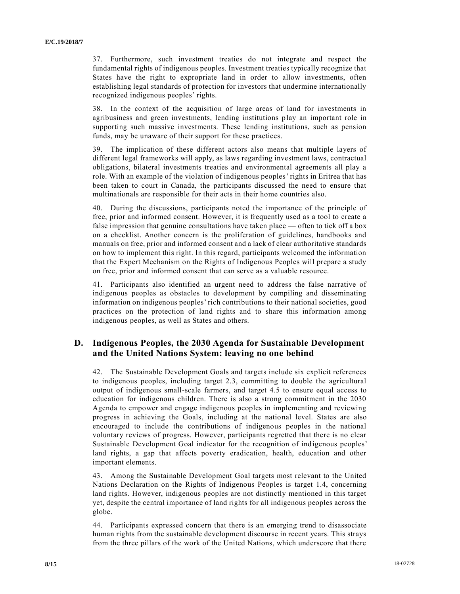37. Furthermore, such investment treaties do not integrate and respect the fundamental rights of indigenous peoples. Investment treaties typically recognize that States have the right to expropriate land in order to allow investments, often establishing legal standards of protection for investors that undermine internationally recognized indigenous peoples' rights.

38. In the context of the acquisition of large areas of land for investments in agribusiness and green investments, lending institutions play an important role in supporting such massive investments. These lending institutions, such as pension funds, may be unaware of their support for these practices.

39. The implication of these different actors also means that multiple layers of different legal frameworks will apply, as laws regarding investment laws, contractual obligations, bilateral investments treaties and environmental agreements all play a role. With an example of the violation of indigenous peoples' rights in Eritrea that has been taken to court in Canada, the participants discussed the need to ensure that multinationals are responsible for their acts in their home countries also.

40. During the discussions, participants noted the importance of the principle of free, prior and informed consent. However, it is frequently used as a tool to create a false impression that genuine consultations have taken place — often to tick off a box on a checklist. Another concern is the proliferation of guidelines, handbooks and manuals on free, prior and informed consent and a lack of clear authoritative standards on how to implement this right. In this regard, participants welcomed the information that the Expert Mechanism on the Rights of Indigenous Peoples will prepare a study on free, prior and informed consent that can serve as a valuable resource.

41. Participants also identified an urgent need to address the false narrative of indigenous peoples as obstacles to development by compiling and disseminating information on indigenous peoples' rich contributions to their national societies, good practices on the protection of land rights and to share this information among indigenous peoples, as well as States and others.

## **D. Indigenous Peoples, the 2030 Agenda for Sustainable Development and the United Nations System: leaving no one behind**

42. The Sustainable Development Goals and targets include six explicit references to indigenous peoples, including target 2.3, committing to double the agricultural output of indigenous small-scale farmers, and target 4.5 to ensure equal access to education for indigenous children. There is also a strong commitment in the 2030 Agenda to empower and engage indigenous peoples in implementing and reviewing progress in achieving the Goals, including at the national level. States are also encouraged to include the contributions of indigenous peoples in the national voluntary reviews of progress. However, participants regretted that there is no clear Sustainable Development Goal indicator for the recognition of indigenous peoples' land rights, a gap that affects poverty eradication, health, education and other important elements.

43. Among the Sustainable Development Goal targets most relevant to the United Nations Declaration on the Rights of Indigenous Peoples is target 1.4, concerning land rights. However, indigenous peoples are not distinctly mentioned in this target yet, despite the central importance of land rights for all indigenous peoples across the globe.

44. Participants expressed concern that there is an emerging trend to disassociate human rights from the sustainable development discourse in recent years. This strays from the three pillars of the work of the United Nations, which underscore that there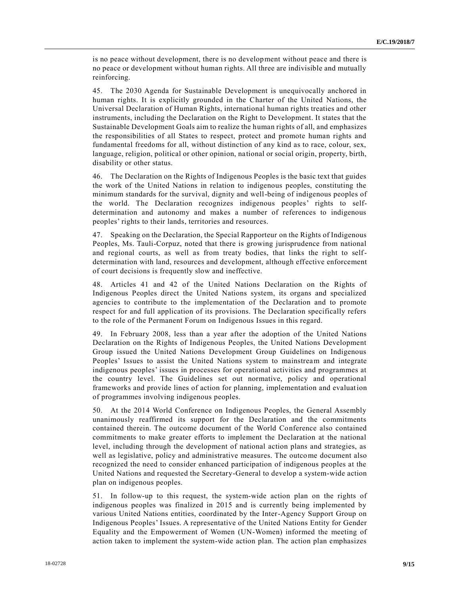is no peace without development, there is no development without peace and there is no peace or development without human rights. All three are indivisible and mutually reinforcing.

45. The 2030 Agenda for Sustainable Development is unequivocally anchored in human rights. It is explicitly grounded in the Charter of the United Nations, the Universal Declaration of Human Rights, international human rights treaties and other instruments, including the Declaration on the Right to Development. It states that the Sustainable Development Goals aim to realize the human rights of all, and emphasizes the responsibilities of all States to respect, protect and promote human rights and fundamental freedoms for all, without distinction of any kind as to race, colour, sex, language, religion, political or other opinion, national or social origin, property, birth, disability or other status.

46. The Declaration on the Rights of Indigenous Peoples is the basic text that guides the work of the United Nations in relation to indigenous peoples, constituting the minimum standards for the survival, dignity and well-being of indigenous peoples of the world. The Declaration recognizes indigenous peoples' rights to selfdetermination and autonomy and makes a number of references to indigenous peoples' rights to their lands, territories and resources.

47. Speaking on the Declaration, the Special Rapporteur on the Rights of Indigenous Peoples, Ms. Tauli-Corpuz, noted that there is growing jurisprudence from national and regional courts, as well as from treaty bodies, that links the right to selfdetermination with land, resources and development, although effective enforcement of court decisions is frequently slow and ineffective.

48. Articles 41 and 42 of the United Nations Declaration on the Rights of Indigenous Peoples direct the United Nations system, its organs and specialized agencies to contribute to the implementation of the Declaration and to promote respect for and full application of its provisions. The Declaration specifically refers to the role of the Permanent Forum on Indigenous Issues in this regard.

49. In February 2008, less than a year after the adoption of the United Nations Declaration on the Rights of Indigenous Peoples, the United Nations Development Group issued the United Nations Development Group Guidelines on Indigenous Peoples' Issues to assist the United Nations system to mainstream and integrate indigenous peoples' issues in processes for operational activities and programmes at the country level. The Guidelines set out normative, policy and operational frameworks and provide lines of action for planning, implementation and evaluation of programmes involving indigenous peoples.

50. At the 2014 World Conference on Indigenous Peoples, the General Assembly unanimously reaffirmed its support for the Declaration and the commitments contained therein. The outcome document of the World Conference also contained commitments to make greater efforts to implement the Declaration at the national level, including through the development of national action plans and strategies, as well as legislative, policy and administrative measures. The outcome document also recognized the need to consider enhanced participation of indigenous peoples at the United Nations and requested the Secretary-General to develop a system-wide action plan on indigenous peoples.

51. In follow-up to this request, the system-wide action plan on the rights of indigenous peoples was finalized in 2015 and is currently being implemented by various United Nations entities, coordinated by the Inter-Agency Support Group on Indigenous Peoples' Issues. A representative of the United Nations Entity for Gender Equality and the Empowerment of Women (UN-Women) informed the meeting of action taken to implement the system-wide action plan. The action plan emphasizes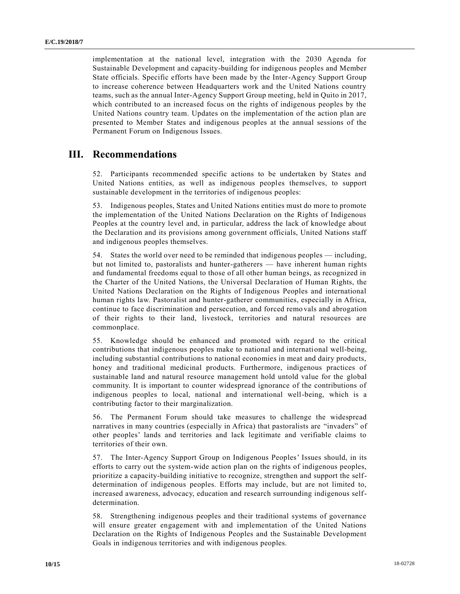implementation at the national level, integration with the 2030 Agenda for Sustainable Development and capacity-building for indigenous peoples and Member State officials. Specific efforts have been made by the Inter-Agency Support Group to increase coherence between Headquarters work and the United Nations country teams, such as the annual Inter-Agency Support Group meeting, held in Quito in 2017, which contributed to an increased focus on the rights of indigenous peoples by the United Nations country team. Updates on the implementation of the action plan are presented to Member States and indigenous peoples at the annual sessions of the Permanent Forum on Indigenous Issues.

## **III. Recommendations**

52. Participants recommended specific actions to be undertaken by States and United Nations entities, as well as indigenous peoples themselves, to support sustainable development in the territories of indigenous peoples:

53. Indigenous peoples, States and United Nations entities must do more to promote the implementation of the United Nations Declaration on the Rights of Indigenous Peoples at the country level and, in particular, address the lack of knowledge about the Declaration and its provisions among government officials, United Nations staff and indigenous peoples themselves.

54. States the world over need to be reminded that indigenous peoples — including, but not limited to, pastoralists and hunter-gatherers — have inherent human rights and fundamental freedoms equal to those of all other human beings, as recognized in the Charter of the United Nations, the Universal Declaration of Human Rights, the United Nations Declaration on the Rights of Indigenous Peoples and international human rights law. Pastoralist and hunter-gatherer communities, especially in Africa, continue to face discrimination and persecution, and forced remo vals and abrogation of their rights to their land, livestock, territories and natural resources are commonplace.

55. Knowledge should be enhanced and promoted with regard to the critical contributions that indigenous peoples make to national and international well-being, including substantial contributions to national economies in meat and dairy products, honey and traditional medicinal products. Furthermore, indigenous practices of sustainable land and natural resource management hold untold value for the global community. It is important to counter widespread ignorance of the contributions of indigenous peoples to local, national and international well-being, which is a contributing factor to their marginalization.

56. The Permanent Forum should take measures to challenge the widespread narratives in many countries (especially in Africa) that pastoralists are "invaders" of other peoples' lands and territories and lack legitimate and verifiable claims to territories of their own.

57. The Inter-Agency Support Group on Indigenous Peoples' Issues should, in its efforts to carry out the system-wide action plan on the rights of indigenous peoples, prioritize a capacity-building initiative to recognize, strengthen and support the selfdetermination of indigenous peoples. Efforts may include, but are not limited to, increased awareness, advocacy, education and research surrounding indigenous selfdetermination.

58. Strengthening indigenous peoples and their traditional systems of governance will ensure greater engagement with and implementation of the United Nations Declaration on the Rights of Indigenous Peoples and the Sustainable Development Goals in indigenous territories and with indigenous peoples.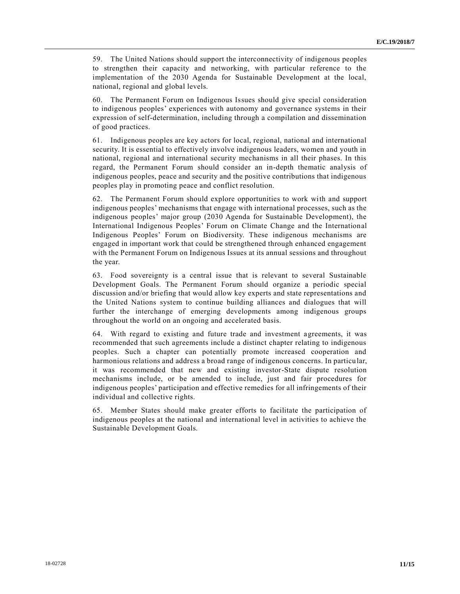59. The United Nations should support the interconnectivity of indigenous peoples to strengthen their capacity and networking, with particular reference to the implementation of the 2030 Agenda for Sustainable Development at the local, national, regional and global levels.

60. The Permanent Forum on Indigenous Issues should give special consideration to indigenous peoples' experiences with autonomy and governance systems in their expression of self-determination, including through a compilation and dissemination of good practices.

61. Indigenous peoples are key actors for local, regional, national and international security. It is essential to effectively involve indigenous leaders, women and youth in national, regional and international security mechanisms in all their phases. In this regard, the Permanent Forum should consider an in-depth thematic analysis of indigenous peoples, peace and security and the positive contributions that indigenous peoples play in promoting peace and conflict resolution.

62. The Permanent Forum should explore opportunities to work with and support indigenous peoples' mechanisms that engage with international processes, such as the indigenous peoples' major group (2030 Agenda for Sustainable Development), the International Indigenous Peoples' Forum on Climate Change and the International Indigenous Peoples' Forum on Biodiversity. These indigenous mechanisms are engaged in important work that could be strengthened through enhanced engagement with the Permanent Forum on Indigenous Issues at its annual sessions and throughout the year.

63. Food sovereignty is a central issue that is relevant to several Sustainable Development Goals. The Permanent Forum should organize a periodic special discussion and/or briefing that would allow key experts and state representations and the United Nations system to continue building alliances and dialogues that will further the interchange of emerging developments among indigenous groups throughout the world on an ongoing and accelerated basis.

64. With regard to existing and future trade and investment agreements, it was recommended that such agreements include a distinct chapter relating to indigenous peoples. Such a chapter can potentially promote increased cooperation and harmonious relations and address a broad range of indigenous concerns. In particular, it was recommended that new and existing investor-State dispute resolution mechanisms include, or be amended to include, just and fair procedures for indigenous peoples' participation and effective remedies for all infringements of their individual and collective rights.

65. Member States should make greater efforts to facilitate the participation of indigenous peoples at the national and international level in activities to achieve the Sustainable Development Goals.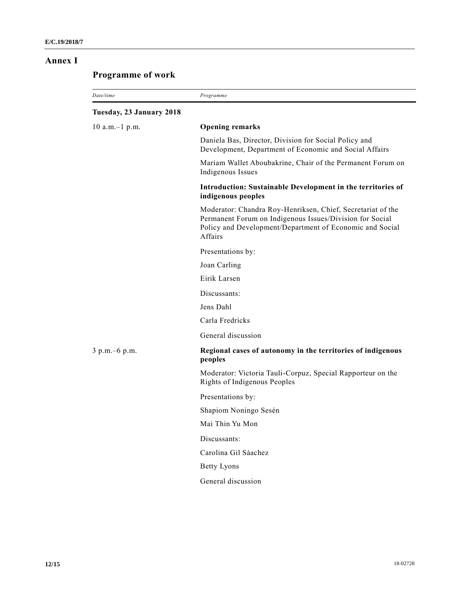### **Annex I**

# **Programme of work**

| Date/time                | Programme                                                                                                                                                                                      |
|--------------------------|------------------------------------------------------------------------------------------------------------------------------------------------------------------------------------------------|
| Tuesday, 23 January 2018 |                                                                                                                                                                                                |
| $10$ a.m. $-1$ p.m.      | <b>Opening remarks</b>                                                                                                                                                                         |
|                          | Daniela Bas, Director, Division for Social Policy and<br>Development, Department of Economic and Social Affairs                                                                                |
|                          | Mariam Wallet Aboubakrine, Chair of the Permanent Forum on<br>Indigenous Issues                                                                                                                |
|                          | Introduction: Sustainable Development in the territories of<br>indigenous peoples                                                                                                              |
|                          | Moderator: Chandra Roy-Henriksen, Chief, Secretariat of the<br>Permanent Forum on Indigenous Issues/Division for Social<br>Policy and Development/Department of Economic and Social<br>Affairs |
|                          | Presentations by:                                                                                                                                                                              |
|                          | Joan Carling                                                                                                                                                                                   |
|                          | Eirik Larsen                                                                                                                                                                                   |
|                          | Discussants:                                                                                                                                                                                   |
|                          | Jens Dahl                                                                                                                                                                                      |
|                          | Carla Fredricks                                                                                                                                                                                |
|                          | General discussion                                                                                                                                                                             |
| 3 p.m. - 6 p.m.          | Regional cases of autonomy in the territories of indigenous<br>peoples                                                                                                                         |
|                          | Moderator: Victoria Tauli-Corpuz, Special Rapporteur on the<br>Rights of Indigenous Peoples                                                                                                    |
|                          | Presentations by:                                                                                                                                                                              |
|                          | Shapiom Noningo Sesén                                                                                                                                                                          |
|                          | Mai Thin Yu Mon                                                                                                                                                                                |
|                          | Discussants:                                                                                                                                                                                   |
|                          | Carolina Gil Sáachez                                                                                                                                                                           |
|                          | <b>Betty Lyons</b>                                                                                                                                                                             |
|                          | General discussion                                                                                                                                                                             |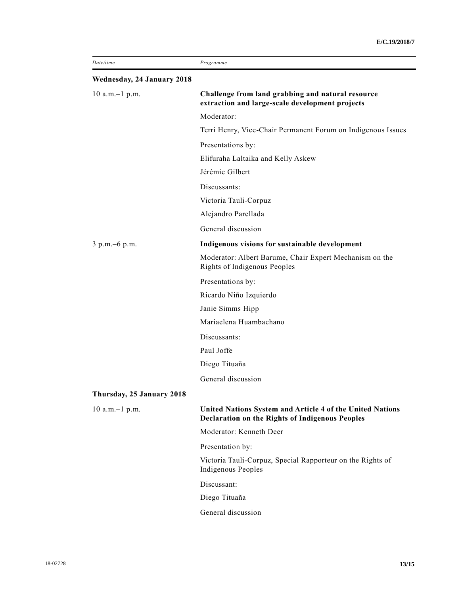| Date/time                  | Programme                                                                                                           |
|----------------------------|---------------------------------------------------------------------------------------------------------------------|
| Wednesday, 24 January 2018 |                                                                                                                     |
| $10$ a.m. $-1$ p.m.        | Challenge from land grabbing and natural resource<br>extraction and large-scale development projects                |
|                            | Moderator:                                                                                                          |
|                            | Terri Henry, Vice-Chair Permanent Forum on Indigenous Issues                                                        |
|                            | Presentations by:                                                                                                   |
|                            | Elifuraha Laltaika and Kelly Askew                                                                                  |
|                            | Jérémie Gilbert                                                                                                     |
|                            | Discussants:                                                                                                        |
|                            | Victoria Tauli-Corpuz                                                                                               |
|                            | Alejandro Parellada                                                                                                 |
|                            | General discussion                                                                                                  |
| 3 p.m. - 6 p.m.            | Indigenous visions for sustainable development                                                                      |
|                            | Moderator: Albert Barume, Chair Expert Mechanism on the<br>Rights of Indigenous Peoples                             |
|                            | Presentations by:                                                                                                   |
|                            | Ricardo Niño Izquierdo                                                                                              |
|                            | Janie Simms Hipp                                                                                                    |
|                            | Mariaelena Huambachano                                                                                              |
|                            | Discussants:                                                                                                        |
|                            | Paul Joffe                                                                                                          |
|                            | Diego Tituaña                                                                                                       |
|                            | General discussion                                                                                                  |
| Thursday, 25 January 2018  |                                                                                                                     |
| $10$ a.m. $-1$ p.m.        | United Nations System and Article 4 of the United Nations<br><b>Declaration on the Rights of Indigenous Peoples</b> |
|                            | Moderator: Kenneth Deer                                                                                             |
|                            | Presentation by:                                                                                                    |
|                            | Victoria Tauli-Corpuz, Special Rapporteur on the Rights of<br>Indigenous Peoples                                    |
|                            | Discussant:                                                                                                         |
|                            | Diego Tituaña                                                                                                       |
|                            | General discussion                                                                                                  |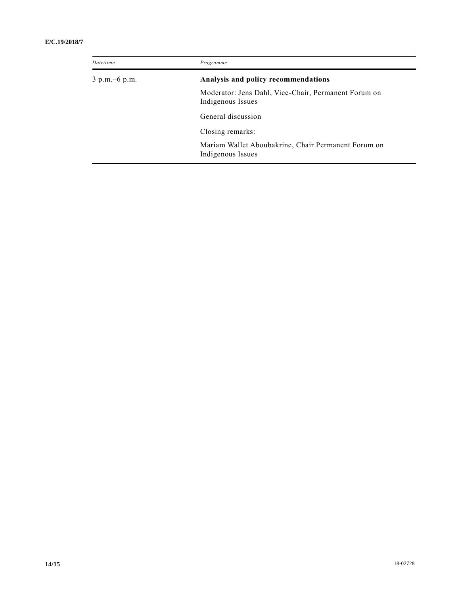#### **E/C.19/2018/7**

| Date/time        | Programme                                                                 |
|------------------|---------------------------------------------------------------------------|
| $3 p.m. -6 p.m.$ | Analysis and policy recommendations                                       |
|                  | Moderator: Jens Dahl, Vice-Chair, Permanent Forum on<br>Indigenous Issues |
|                  | General discussion                                                        |
|                  | Closing remarks:                                                          |
|                  | Mariam Wallet Aboubakrine, Chair Permanent Forum on<br>Indigenous Issues  |